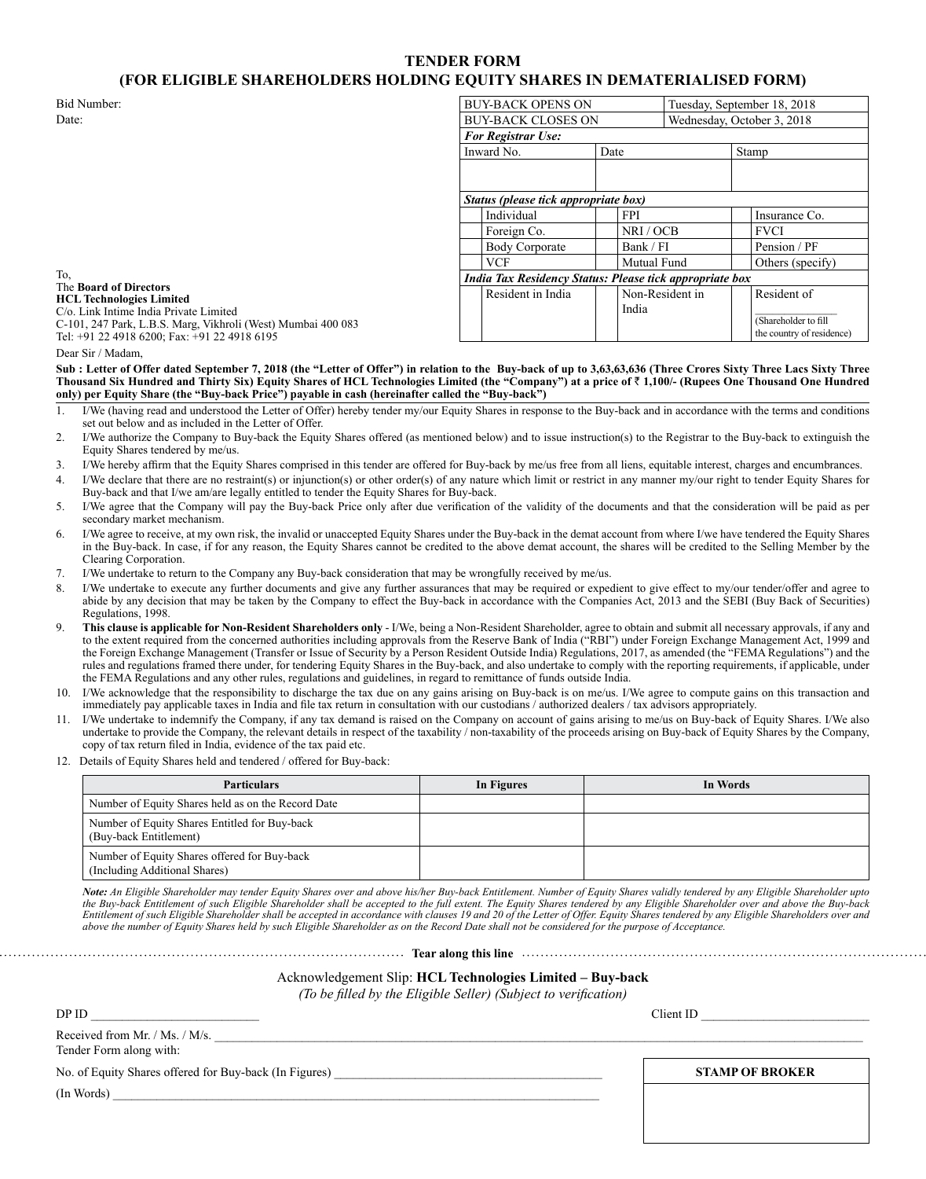# **TENDER FORM (FOR ELIGIBLE SHAREHOLDERS HOLDING EQUITY SHARES IN DEMATERIALISED FORM)**

| Bid Number:                                                      | <b>BUY-BACK OPENS ON</b>                                       |      |                 | Tuesday, September 18, 2018 |                           |  |
|------------------------------------------------------------------|----------------------------------------------------------------|------|-----------------|-----------------------------|---------------------------|--|
| Date:                                                            | <b>BUY-BACK CLOSES ON</b>                                      |      |                 | Wednesday, October 3, 2018  |                           |  |
|                                                                  | <b>For Registrar Use:</b>                                      |      |                 |                             |                           |  |
|                                                                  | Inward No.                                                     | Date |                 |                             | Stamp                     |  |
|                                                                  |                                                                |      |                 |                             |                           |  |
|                                                                  |                                                                |      |                 |                             |                           |  |
|                                                                  | Status (please tick appropriate box)                           |      |                 |                             |                           |  |
|                                                                  | Individual                                                     |      | <b>FPI</b>      |                             | Insurance Co.             |  |
|                                                                  | Foreign Co.                                                    |      | NRI/OCB         |                             | <b>FVCI</b>               |  |
|                                                                  | <b>Body Corporate</b>                                          |      | Bank / FI       |                             | Pension / PF              |  |
|                                                                  | VCF                                                            |      | Mutual Fund     |                             | Others (specify)          |  |
| To.<br>The Board of Directors<br><b>HCL Technologies Limited</b> | <b>India Tax Residency Status: Please tick appropriate box</b> |      |                 |                             |                           |  |
|                                                                  | Resident in India                                              |      | Non-Resident in |                             | Resident of               |  |
| C/o. Link Intime India Private Limited                           |                                                                |      | India           |                             |                           |  |
| C-101, 247 Park, L.B.S. Marg, Vikhroli (West) Mumbai 400 083     |                                                                |      |                 |                             | (Shareholder to fill      |  |
| Tel: +91 22 4918 6200: Fax: +91 22 4918 6195                     |                                                                |      |                 |                             | the country of residence) |  |

Dear Sir / Madam,

Sub : Letter of Offer dated September 7, 2018 (the "Letter of Offer") in relation to the Buy-back of up to 3,63,63,636 (Three Crores Sixty Three Lacs Sixty Three **Thousand Six Hundred and Thirty Six) Equity Shares of HCL Technologies Limited (the "Company") at a price of** ` **1,100/- (Rupees One Thousand One Hundred only) per Equity Share (the "Buy-back Price") payable in cash (hereinafter called the "Buy-back")**

- 1. I/We (having read and understood the Letter of Offer) hereby tender my/our Equity Shares in response to the Buy-back and in accordance with the terms and conditions set out below and as included in the Letter of Offer.
- 2. I/We authorize the Company to Buy-back the Equity Shares offered (as mentioned below) and to issue instruction(s) to the Registrar to the Buy-back to extinguish the Equity Shares tendered by me/us.
- 3. I/We hereby affirm that the Equity Shares comprised in this tender are offered for Buy-back by me/us free from all liens, equitable interest, charges and encumbrances.
- 4. I/We declare that there are no restraint(s) or injunction(s) or other order(s) of any nature which limit or restrict in any manner my/our right to tender Equity Shares for Buy-back and that I/we am/are legally entitled to tender the Equity Shares for Buy-back.
- 5. I/We agree that the Company will pay the Buy-back Price only after due verification of the validity of the documents and that the consideration will be paid as per secondary market mechanism.
- 6. I/We agree to receive, at my own risk, the invalid or unaccepted Equity Shares under the Buy-back in the demat account from where I/we have tendered the Equity Shares in the Buy-back. In case, if for any reason, the Equity Shares cannot be credited to the above demat account, the shares will be credited to the Selling Member by the Clearing Corporation.
- 7. I/We undertake to return to the Company any Buy-back consideration that may be wrongfully received by me/us.
- 8. I/We undertake to execute any further documents and give any further assurances that may be required or expedient to give effect to my/our tender/offer and agree to abide by any decision that may be taken by the Company to effect the Buy-back in accordance with the Companies Act, 2013 and the SEBI (Buy Back of Securities) Regulations, 1998.
- 9. **This clause is applicable for Non-Resident Shareholders only** I/We, being a Non-Resident Shareholder, agree to obtain and submit all necessary approvals, if any and to the extent required from the concerned authorities including approvals from the Reserve Bank of India ("RBI") under Foreign Exchange Management Act, 1999 and the Foreign Exchange Management (Transfer or Issue of Security by a Person Resident Outside India) Regulations, 2017, as amended (the "FEMA Regulations") and the rules and regulations framed there under, for tendering Equity Shares in the Buy-back, and also undertake to comply with the reporting requirements, if applicable, under the FEMA Regulations and any other rules, regulations and guidelines, in regard to remittance of funds outside India.
- 10. I/We acknowledge that the responsibility to discharge the tax due on any gains arising on Buy-back is on me/us. I/We agree to compute gains on this transaction and immediately pay applicable taxes in India and file tax return in consultation with our custodians / authorized dealers / tax advisors appropriately.
- 11. I/We undertake to indemnify the Company, if any tax demand is raised on the Company on account of gains arising to me/us on Buy-back of Equity Shares. I/We also undertake to provide the Company, the relevant details in respect of the taxability / non-taxability of the proceeds arising on Buy-back of Equity Shares by the Company, copy of tax return filed in India, evidence of the tax paid etc.
- 12. Details of Equity Shares held and tendered / offered for Buy-back:

| <b>Particulars</b>                                                            | In Figures | In Words |
|-------------------------------------------------------------------------------|------------|----------|
| Number of Equity Shares held as on the Record Date                            |            |          |
| Number of Equity Shares Entitled for Buy-back<br>(Buy-back Entitlement)       |            |          |
| Number of Equity Shares offered for Buy-back<br>(Including Additional Shares) |            |          |

*Note: An Eligible Shareholder may tender Equity Shares over and above his/her Buy-back Entitlement. Number of Equity Shares validly tendered by any Eligible Shareholder upto the Buy-back Entitlement of such Eligible Shareholder shall be accepted to the full extent. The Equity Shares tendered by any Eligible Shareholder over and above the Buy-back Entitlement of such Eligible Shareholder shall be accepted in accordance with clauses 19 and 20 of the Letter of Offer. Equity Shares tendered by any Eligible Shareholders over and above the number of Equity Shares held by such Eligible Shareholder as on the Record Date shall not be considered for the purpose of Acceptance.*

**Tear along this line The Communication of the Communication Tear along this line The Communication of the Communication** 

Acknowledgement Slip: **HCL Technologies Limited – Buy-back**

*(To be filled by the Eligible Seller) (Subject to verification)*

| DP ID                                                     | ClientID               |
|-----------------------------------------------------------|------------------------|
| Received from Mr. / Ms. / M/s.<br>Tender Form along with: |                        |
| No. of Equity Shares offered for Buy-back (In Figures)    | <b>STAMP OF BROKER</b> |
| (In Words)                                                |                        |